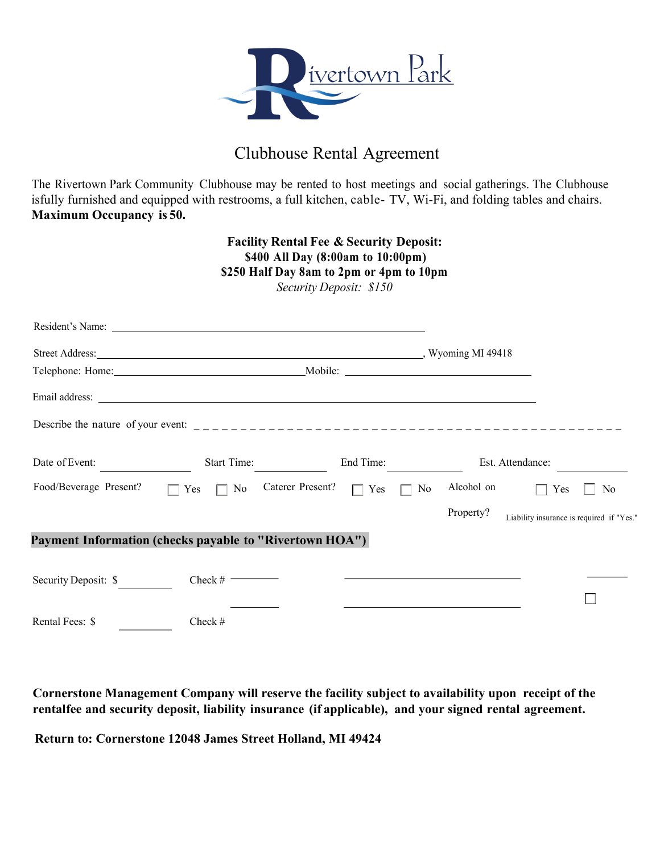

## Clubhouse Rental Agreement

The Rivertown Park Community Clubhouse may be rented to host meetings and social gatherings. The Clubhouse isfully furnished and equipped with restrooms, a full kitchen, cable- TV, Wi-Fi, and folding tables and chairs. **Maximum Occupancy is 50.**

## **Facility Rental Fee & Security Deposit: \$400 All Day (8:00am to 10:00pm) \$250 Half Day 8am to 2pm or 4pm to 10pm** *Security Deposit: \$150*

|                                                                |                  | Street Address: No. 2016. The Street Address: | $\ldots$ , Wyoming MI 49418 |                                           |
|----------------------------------------------------------------|------------------|-----------------------------------------------|-----------------------------|-------------------------------------------|
|                                                                |                  |                                               |                             |                                           |
|                                                                |                  |                                               |                             |                                           |
|                                                                |                  |                                               |                             |                                           |
| Date of Event:                                                 | Start Time:      | End Time:                                     | Est. Attendance:            |                                           |
| Food/Beverage Present?                                         | $\Box$ Yes<br>No | Caterer Present?<br>$\Box$ Yes<br>No          | Alcohol on                  | No<br>Yes                                 |
|                                                                |                  |                                               | Property?                   | Liability insurance is required if "Yes." |
| <b>Payment Information (checks payable to "Rivertown HOA")</b> |                  |                                               |                             |                                           |
| Security Deposit: \$                                           | Check # $\qquad$ |                                               |                             |                                           |
|                                                                |                  |                                               |                             |                                           |
| Rental Fees: \$                                                | Check #          |                                               |                             |                                           |

**Cornerstone Management Company will reserve the facility subject to availability upon receipt of the rentalfee and security deposit, liability insurance (if applicable), and your signed rental agreement.**

**Return to: Cornerstone 12048 James Street Holland, MI 49424**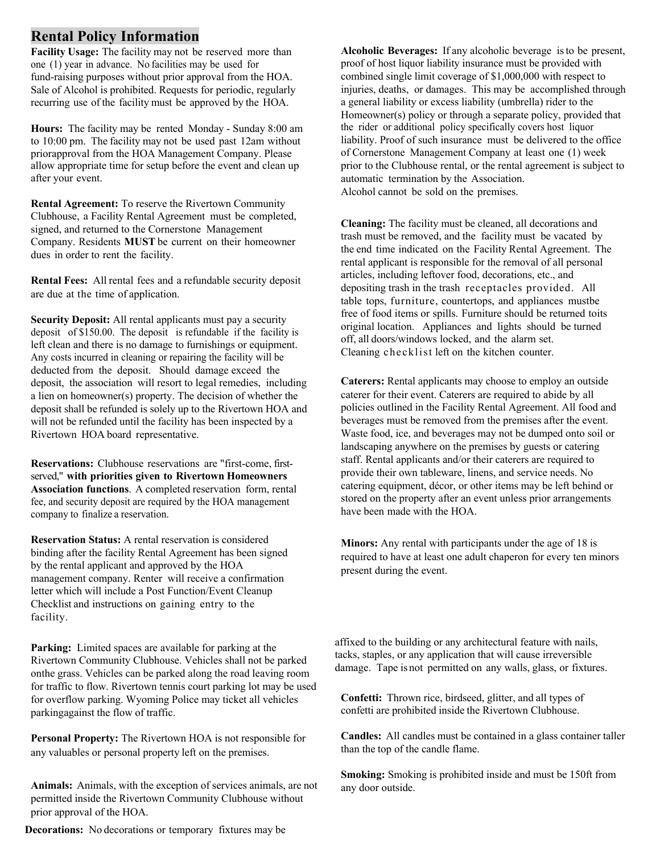## **Rental Policy Information**

**Facility Usage:** The facility may not be reserved more than one (1) year in advance. No facilities may be used for fund-raising purposes without prior approval from the HOA. Sale of Alcohol is prohibited. Requests for periodic, regularly recurring use of the facility must be approved by the HOA.

**Hours:** The facility may be rented Monday - Sunday 8:00 am to 10:00 pm. The facility may not be used past 12am without priorapproval from the HOA Management Company. Please allow appropriate time for setup before the event and clean up after your event.

**Rental Agreement:** To reserve the Rivertown Community Clubhouse, a Facility Rental Agreement must be completed, signed, and returned to the Cornerstone Management Company. Residents **MUST** be current on their homeowner dues in order to rent the facility.

**Rental Fees:** All rental fees and a refundable security deposit are due at the time of application.

**Security Deposit:** All rental applicants must pay a security deposit of \$150.00. The deposit is refundable if the facility is left clean and there is no damage to furnishings or equipment. Any costs incurred in cleaning or repairing the facility will be deducted from the deposit. Should damage exceed the deposit, the association will resort to legal remedies, including a lien on homeowner(s) property. The decision of whether the deposit shall be refunded is solely up to the Rivertown HOA and will not be refunded until the facility has been inspected by a Rivertown HOA board representative.

**Reservations:** Clubhouse reservations are "first-come, firstserved," **with priorities given to Rivertown Homeowners Association functions**. A completed reservation form, rental fee, and security deposit are required by the HOA management company to finalize a reservation.

**Reservation Status:** A rental reservation is considered binding after the facility Rental Agreement has been signed by the rental applicant and approved by the HOA management company. Renter will receive a confirmation letter which will include a Post Function/Event Cleanup Checklist and instructions on gaining entry to the facility.

**Parking:** Limited spaces are available for parking at the Rivertown Community Clubhouse. Vehicles shall not be parked onthe grass. Vehicles can be parked along the road leaving room for traffic to flow. Rivertown tennis court parking lot may be used for overflow parking. Wyoming Police may ticket all vehicles parkingagainst the flow of traffic.

**Personal Property:** The Rivertown HOA is not responsible for any valuables or personal property left on the premises.

**Animals:** Animals, with the exception of services animals, are not permitted inside the Rivertown Community Clubhouse without prior approval of the HOA.

**Decorations:** No decorations or temporary fixtures may be

**Alcoholic Beverages:** If any alcoholic beverage isto be present, proof of host liquor liability insurance must be provided with combined single limit coverage of \$1,000,000 with respect to injuries, deaths, or damages. This may be accomplished through a general liability or excess liability (umbrella) rider to the Homeowner(s) policy or through a separate policy, provided that the rider or additional policy specifically covers host liquor liability. Proof of such insurance must be delivered to the office of Cornerstone Management Company at least one (1) week prior to the Clubhouse rental, or the rental agreement is subject to automatic termination by the Association. Alcohol cannot be sold on the premises.

**Cleaning:** The facility must be cleaned, all decorations and trash must be removed, and the facility must be vacated by the end time indicated on the Facility Rental Agreement. The rental applicant is responsible for the removal of all personal articles, including leftover food, decorations, etc., and depositing trash in the trash receptacles provided. All table tops, furniture, countertops, and appliances mustbe free of food items or spills. Furniture should be returned toits original location. Appliances and lights should be turned off, all doors/windows locked, and the alarm set. Cleaning checklist left on the kitchen counter.

**Caterers:** Rental applicants may choose to employ an outside caterer for their event. Caterers are required to abide by all policies outlined in the Facility Rental Agreement. All food and beverages must be removed from the premises after the event. Waste food, ice, and beverages may not be dumped onto soil or landscaping anywhere on the premises by guests or catering staff. Rental applicants and/or their caterers are required to provide their own tableware, linens, and service needs. No catering equipment, décor, or other items may be left behind or stored on the property after an event unless prior arrangements have been made with the HOA.

**Minors:** Any rental with participants under the age of 18 is required to have at least one adult chaperon for every ten minors present during the event.

affixed to the building or any architectural feature with nails, tacks, staples, or any application that will cause irreversible damage. Tape is not permitted on any walls, glass, or fixtures.

**Confetti:** Thrown rice, birdseed, glitter, and all types of confetti are prohibited inside the Rivertown Clubhouse.

**Candles:** All candles must be contained in a glass container taller than the top of the candle flame.

**Smoking:** Smoking is prohibited inside and must be 150ft from any door outside.